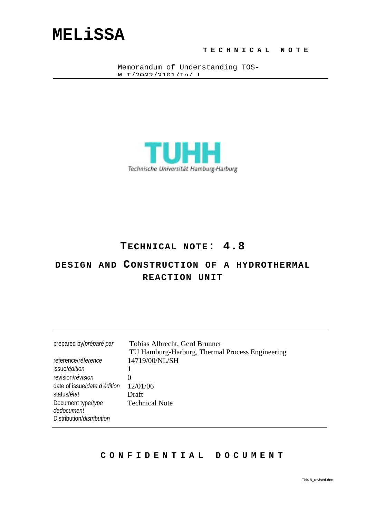# **MELiSSA**

#### **TECHNICAL NOTE**

Memorandum of Understanding TOS- $M$   $m / 2000$   $/ 2161 / \tau m / T$ 



### **TECHNICAL NOTE: 4.8**

### **DESIGN AND CONSTRUCTION OF A HYDROTHERMAL REACTION UNIT**

| prepared by/préparé par           | Tobias Albrecht, Gerd Brunner<br>TU Hamburg-Harburg, Thermal Process Engineering |
|-----------------------------------|----------------------------------------------------------------------------------|
| reference/réference               | 14719/00/NL/SH                                                                   |
| issue/ <i>édition</i>             |                                                                                  |
| revision/révision                 | 0                                                                                |
| date of issue/date d'édition      | 12/01/06                                                                         |
| status/état                       | Draft                                                                            |
| Document type/type<br>dedocument  | <b>Technical Note</b>                                                            |
| Distribution/ <i>distribution</i> |                                                                                  |

#### **CONFIDENTIAL DOCUMENT**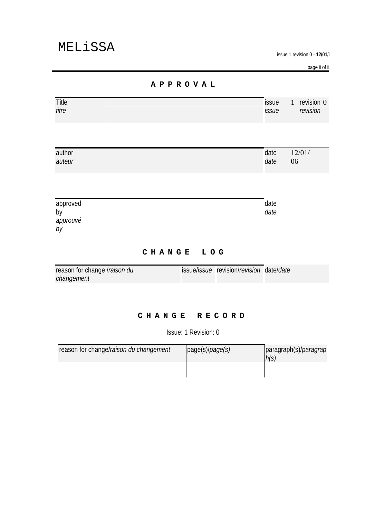**issue 1 revision 0 - 12/01/** 

page ii of ii

#### **APPROVAL**

| Title | <b>lissue</b> | revision 0 |
|-------|---------------|------------|
| titre | <i>issue</i>  | revision   |
|       |               |            |

| author | date | 12/01/ |
|--------|------|--------|
| auteur | date | 06     |
|        |      |        |

| approved       | date |
|----------------|------|
| by             | date |
| approuvé<br>by |      |

#### **CHANGE LOG**

| reason for change <i>Iraison du</i><br>changement | issue/ <i>issue</i>  revision/ <i>revision</i>   date/ <i>date</i> |  |
|---------------------------------------------------|--------------------------------------------------------------------|--|
|                                                   |                                                                    |  |

#### **CHANGE RECORD**

Issue: 1 Revision: 0

| reason for change/raison du changement | page(s)/page(s) | paragraph(s)/ <i>paragrap</i><br>h(s) |
|----------------------------------------|-----------------|---------------------------------------|
|                                        |                 |                                       |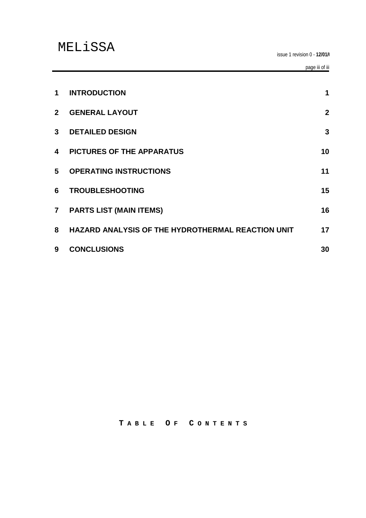| $\mathbf 1$    | <b>INTRODUCTION</b>                               | $\mathbf 1$    |
|----------------|---------------------------------------------------|----------------|
| $\mathbf{2}$   | <b>GENERAL LAYOUT</b>                             | $\overline{2}$ |
| 3 <sup>1</sup> | <b>DETAILED DESIGN</b>                            | 3              |
| 4              | <b>PICTURES OF THE APPARATUS</b>                  | 10             |
| 5              | <b>OPERATING INSTRUCTIONS</b>                     | 11             |
| 6              | <b>TROUBLESHOOTING</b>                            | 15             |
| $\overline{7}$ | <b>PARTS LIST (MAIN ITEMS)</b>                    | 16             |
| 8              | HAZARD ANALYSIS OF THE HYDROTHERMAL REACTION UNIT | 17             |
| 9              | <b>CONCLUSIONS</b>                                | 30             |

**T ABLE O F C ONTENTS**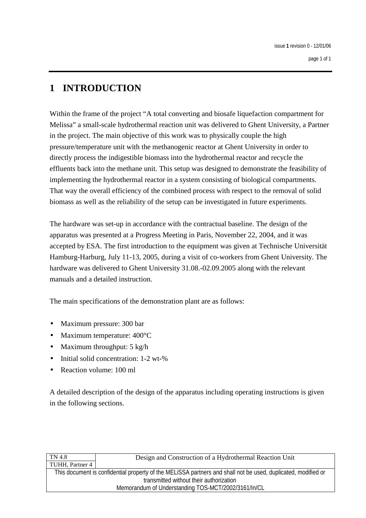### **1 INTRODUCTION**

Within the frame of the project "A total converting and biosafe liquefaction compartment for Melissa" a small-scale hydrothermal reaction unit was delivered to Ghent University, a Partner in the project. The main objective of this work was to physically couple the high pressure/temperature unit with the methanogenic reactor at Ghent University in order to directly process the indigestible biomass into the hydrothermal reactor and recycle the effluents back into the methane unit. This setup was designed to demonstrate the feasibility of implementing the hydrothermal reactor in a system consisting of biological compartments. That way the overall efficiency of the combined process with respect to the removal of solid biomass as well as the reliability of the setup can be investigated in future experiments.

The hardware was set-up in accordance with the contractual baseline. The design of the apparatus was presented at a Progress Meeting in Paris, November 22, 2004, and it was accepted by ESA. The first introduction to the equipment was given at Technische Universität Hamburg-Harburg, July 11-13, 2005, during a visit of co-workers from Ghent University. The hardware was delivered to Ghent University 31.08.-02.09.2005 along with the relevant manuals and a detailed instruction.

The main specifications of the demonstration plant are as follows:

- Maximum pressure: 300 bar
- Maximum temperature: 400°C
- Maximum throughput: 5 kg/h
- Initial solid concentration: 1-2 wt-%
- Reaction volume: 100 ml

A detailed description of the design of the apparatus including operating instructions is given in the following sections.

| TN 4.8          | Design and Construction of a Hydrothermal Reaction Unit                                                       |
|-----------------|---------------------------------------------------------------------------------------------------------------|
| TUHH, Partner 4 |                                                                                                               |
|                 | This document is confidential property of the MELISSA partners and shall not be used, duplicated, modified or |
|                 | transmitted without their authorization                                                                       |
|                 | Memorandum of Understanding TOS-MCT/2002/3161/In/CL                                                           |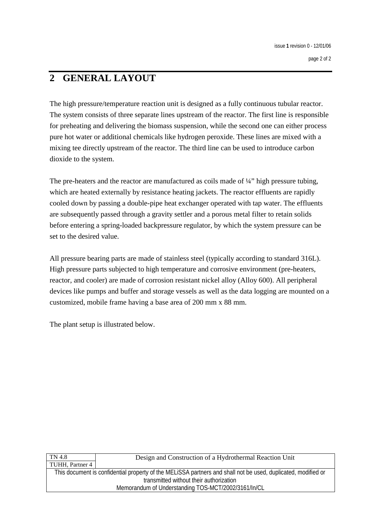### **2 GENERAL LAYOUT**

The high pressure/temperature reaction unit is designed as a fully continuous tubular reactor. The system consists of three separate lines upstream of the reactor. The first line is responsible for preheating and delivering the biomass suspension, while the second one can either process pure hot water or additional chemicals like hydrogen peroxide. These lines are mixed with a mixing tee directly upstream of the reactor. The third line can be used to introduce carbon dioxide to the system.

The pre-heaters and the reactor are manufactured as coils made of  $\frac{1}{4}$ " high pressure tubing, which are heated externally by resistance heating jackets. The reactor effluents are rapidly cooled down by passing a double-pipe heat exchanger operated with tap water. The effluents are subsequently passed through a gravity settler and a porous metal filter to retain solids before entering a spring-loaded backpressure regulator, by which the system pressure can be set to the desired value.

All pressure bearing parts are made of stainless steel (typically according to standard 316L). High pressure parts subjected to high temperature and corrosive environment (pre-heaters, reactor, and cooler) are made of corrosion resistant nickel alloy (Alloy 600). All peripheral devices like pumps and buffer and storage vessels as well as the data logging are mounted on a customized, mobile frame having a base area of 200 mm x 88 mm.

The plant setup is illustrated below.

| TN 4.8          | Design and Construction of a Hydrothermal Reaction Unit                                                       |
|-----------------|---------------------------------------------------------------------------------------------------------------|
| TUHH, Partner 4 |                                                                                                               |
|                 | This document is confidential property of the MELISSA partners and shall not be used, duplicated, modified or |
|                 | transmitted without their authorization                                                                       |
|                 | Memorandum of Understanding TOS-MCT/2002/3161/In/CL                                                           |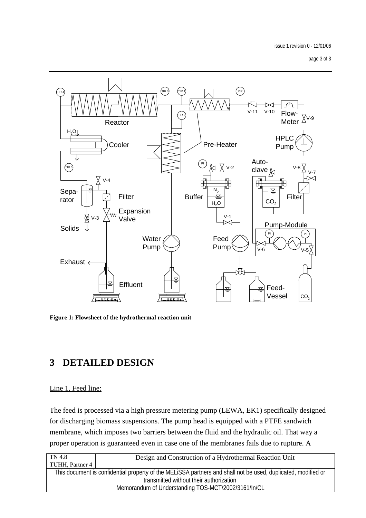page 3 of 3



**Figure 1: Flowsheet of the hydrothermal reaction unit** 

### **3 DETAILED DESIGN**

#### Line 1, Feed line:

The feed is processed via a high pressure metering pump (LEWA, EK1) specifically designed for discharging biomass suspensions. The pump head is equipped with a PTFE sandwich membrane, which imposes two barriers between the fluid and the hydraulic oil. That way a proper operation is guaranteed even in case one of the membranes fails due to rupture. A

| TN 4.8          | Design and Construction of a Hydrothermal Reaction Unit                                                       |
|-----------------|---------------------------------------------------------------------------------------------------------------|
| TUHH, Partner 4 |                                                                                                               |
|                 | This document is confidential property of the MELISSA partners and shall not be used, duplicated, modified or |
|                 | transmitted without their authorization                                                                       |
|                 | Memorandum of Understanding TOS-MCT/2002/3161/In/CL                                                           |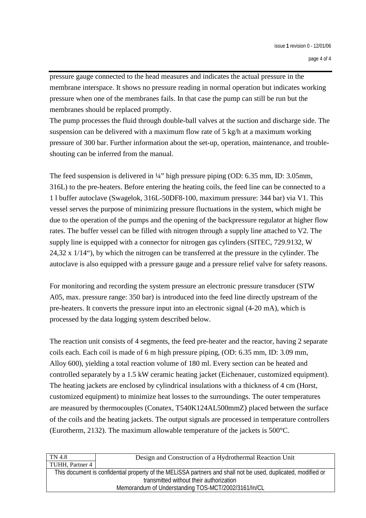pressure gauge connected to the head measures and indicates the actual pressure in the membrane interspace. It shows no pressure reading in normal operation but indicates working pressure when one of the membranes fails. In that case the pump can still be run but the membranes should be replaced promptly.

The pump processes the fluid through double-ball valves at the suction and discharge side. The suspension can be delivered with a maximum flow rate of 5 kg/h at a maximum working pressure of 300 bar. Further information about the set-up, operation, maintenance, and troubleshouting can be inferred from the manual.

The feed suspension is delivered in  $\frac{1}{4}$ " high pressure piping (OD: 6.35 mm, ID: 3.05 mm, 316L) to the pre-heaters. Before entering the heating coils, the feed line can be connected to a 1 l buffer autoclave (Swagelok, 316L-50DF8-100, maximum pressure: 344 bar) via V1. This vessel serves the purpose of minimizing pressure fluctuations in the system, which might be due to the operation of the pumps and the opening of the backpressure regulator at higher flow rates. The buffer vessel can be filled with nitrogen through a supply line attached to V2. The supply line is equipped with a connector for nitrogen gas cylinders (SITEC, 729.9132, W 24,32 x  $1/14$ "), by which the nitrogen can be transferred at the pressure in the cylinder. The autoclave is also equipped with a pressure gauge and a pressure relief valve for safety reasons.

For monitoring and recording the system pressure an electronic pressure transducer (STW A05, max. pressure range: 350 bar) is introduced into the feed line directly upstream of the pre-heaters. It converts the pressure input into an electronic signal (4-20 mA), which is processed by the data logging system described below.

The reaction unit consists of 4 segments, the feed pre-heater and the reactor, having 2 separate coils each. Each coil is made of 6 m high pressure piping, (OD: 6.35 mm, ID: 3.09 mm, Alloy 600), yielding a total reaction volume of 180 ml. Every section can be heated and controlled separately by a 1.5 kW ceramic heating jacket (Eichenauer, customized equipment). The heating jackets are enclosed by cylindrical insulations with a thickness of 4 cm (Horst, customized equipment) to minimize heat losses to the surroundings. The outer temperatures are measured by thermocouples (Conatex, T540K124AL500mmZ) placed between the surface of the coils and the heating jackets. The output signals are processed in temperature controllers (Eurotherm, 2132). The maximum allowable temperature of the jackets is 500°C.

| TN 4.8          | Design and Construction of a Hydrothermal Reaction Unit                                                       |
|-----------------|---------------------------------------------------------------------------------------------------------------|
| TUHH, Partner 4 |                                                                                                               |
|                 | This document is confidential property of the MELISSA partners and shall not be used, duplicated, modified or |
|                 | transmitted without their authorization                                                                       |
|                 | Memorandum of Understanding TOS-MCT/2002/3161/In/CL                                                           |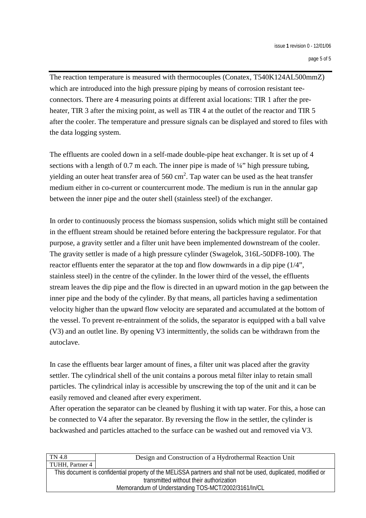The reaction temperature is measured with thermocouples (Conatex, T540K124AL500mmZ) which are introduced into the high pressure piping by means of corrosion resistant teeconnectors. There are 4 measuring points at different axial locations: TIR 1 after the preheater, TIR 3 after the mixing point, as well as TIR 4 at the outlet of the reactor and TIR 5 after the cooler. The temperature and pressure signals can be displayed and stored to files with the data logging system.

The effluents are cooled down in a self-made double-pipe heat exchanger. It is set up of 4 sections with a length of 0.7 m each. The inner pipe is made of  $\frac{1}{4}$  high pressure tubing, yielding an outer heat transfer area of 560 cm<sup>2</sup>. Tap water can be used as the heat transfer medium either in co-current or countercurrent mode. The medium is run in the annular gap between the inner pipe and the outer shell (stainless steel) of the exchanger.

In order to continuously process the biomass suspension, solids which might still be contained in the effluent stream should be retained before entering the backpressure regulator. For that purpose, a gravity settler and a filter unit have been implemented downstream of the cooler. The gravity settler is made of a high pressure cylinder (Swagelok, 316L-50DF8-100). The reactor effluents enter the separator at the top and flow downwards in a dip pipe (1/4", stainless steel) in the centre of the cylinder. In the lower third of the vessel, the effluents stream leaves the dip pipe and the flow is directed in an upward motion in the gap between the inner pipe and the body of the cylinder. By that means, all particles having a sedimentation velocity higher than the upward flow velocity are separated and accumulated at the bottom of the vessel. To prevent re-entrainment of the solids, the separator is equipped with a ball valve (V3) and an outlet line. By opening V3 intermittently, the solids can be withdrawn from the autoclave.

In case the effluents bear larger amount of fines, a filter unit was placed after the gravity settler. The cylindrical shell of the unit contains a porous metal filter inlay to retain small particles. The cylindrical inlay is accessible by unscrewing the top of the unit and it can be easily removed and cleaned after every experiment.

After operation the separator can be cleaned by flushing it with tap water. For this, a hose can be connected to V4 after the separator. By reversing the flow in the settler, the cylinder is backwashed and particles attached to the surface can be washed out and removed via V3.

| TN 4.8          | Design and Construction of a Hydrothermal Reaction Unit                                                       |
|-----------------|---------------------------------------------------------------------------------------------------------------|
| TUHH, Partner 4 |                                                                                                               |
|                 | This document is confidential property of the MELISSA partners and shall not be used, duplicated, modified or |
|                 | transmitted without their authorization                                                                       |
|                 | Memorandum of Understanding TOS-MCT/2002/3161/In/CL                                                           |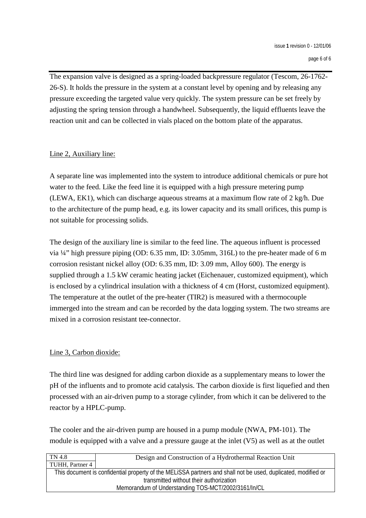The expansion valve is designed as a spring-loaded backpressure regulator (Tescom, 26-1762- 26-S). It holds the pressure in the system at a constant level by opening and by releasing any pressure exceeding the targeted value very quickly. The system pressure can be set freely by adjusting the spring tension through a handwheel. Subsequently, the liquid effluents leave the reaction unit and can be collected in vials placed on the bottom plate of the apparatus.

#### Line 2, Auxiliary line:

A separate line was implemented into the system to introduce additional chemicals or pure hot water to the feed. Like the feed line it is equipped with a high pressure metering pump (LEWA, EK1), which can discharge aqueous streams at a maximum flow rate of 2 kg/h. Due to the architecture of the pump head, e.g. its lower capacity and its small orifices, this pump is not suitable for processing solids.

The design of the auxiliary line is similar to the feed line. The aqueous influent is processed via ¼" high pressure piping (OD: 6.35 mm, ID: 3.05mm, 316L) to the pre-heater made of 6 m corrosion resistant nickel alloy (OD: 6.35 mm, ID: 3.09 mm, Alloy 600). The energy is supplied through a 1.5 kW ceramic heating jacket (Eichenauer, customized equipment), which is enclosed by a cylindrical insulation with a thickness of 4 cm (Horst, customized equipment). The temperature at the outlet of the pre-heater (TIR2) is measured with a thermocouple immerged into the stream and can be recorded by the data logging system. The two streams are mixed in a corrosion resistant tee-connector.

#### Line 3, Carbon dioxide:

The third line was designed for adding carbon dioxide as a supplementary means to lower the pH of the influents and to promote acid catalysis. The carbon dioxide is first liquefied and then processed with an air-driven pump to a storage cylinder, from which it can be delivered to the reactor by a HPLC-pump.

The cooler and the air-driven pump are housed in a pump module (NWA, PM-101). The module is equipped with a valve and a pressure gauge at the inlet (V5) as well as at the outlet

| TN 4.8                                                                                                                                                   | Design and Construction of a Hydrothermal Reaction Unit |  |  |  |
|----------------------------------------------------------------------------------------------------------------------------------------------------------|---------------------------------------------------------|--|--|--|
| TUHH, Partner 4                                                                                                                                          |                                                         |  |  |  |
| This document is confidential property of the MELISSA partners and shall not be used, duplicated, modified or<br>transmitted without their authorization |                                                         |  |  |  |
| Memorandum of Understanding TOS-MCT/2002/3161/In/CL                                                                                                      |                                                         |  |  |  |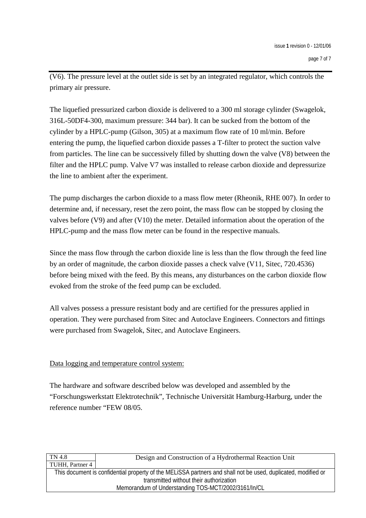(V6). The pressure level at the outlet side is set by an integrated regulator, which controls the primary air pressure.

The liquefied pressurized carbon dioxide is delivered to a 300 ml storage cylinder (Swagelok, 316L-50DF4-300, maximum pressure: 344 bar). It can be sucked from the bottom of the cylinder by a HPLC-pump (Gilson, 305) at a maximum flow rate of 10 ml/min. Before entering the pump, the liquefied carbon dioxide passes a T-filter to protect the suction valve from particles. The line can be successively filled by shutting down the valve (V8) between the filter and the HPLC pump. Valve V7 was installed to release carbon dioxide and depressurize the line to ambient after the experiment.

The pump discharges the carbon dioxide to a mass flow meter (Rheonik, RHE 007). In order to determine and, if necessary, reset the zero point, the mass flow can be stopped by closing the valves before (V9) and after (V10) the meter. Detailed information about the operation of the HPLC-pump and the mass flow meter can be found in the respective manuals.

Since the mass flow through the carbon dioxide line is less than the flow through the feed line by an order of magnitude, the carbon dioxide passes a check valve (V11, Sitec, 720.4536) before being mixed with the feed. By this means, any disturbances on the carbon dioxide flow evoked from the stroke of the feed pump can be excluded.

All valves possess a pressure resistant body and are certified for the pressures applied in operation. They were purchased from Sitec and Autoclave Engineers. Connectors and fittings were purchased from Swagelok, Sitec, and Autoclave Engineers.

#### Data logging and temperature control system:

The hardware and software described below was developed and assembled by the "Forschungswerkstatt Elektrotechnik", Technische Universität Hamburg-Harburg, under the reference number "FEW 08/05.

| TN 4.8                                                                                                        | Design and Construction of a Hydrothermal Reaction Unit |  |  |  |
|---------------------------------------------------------------------------------------------------------------|---------------------------------------------------------|--|--|--|
| TUHH, Partner 4                                                                                               |                                                         |  |  |  |
| This document is confidential property of the MELiSSA partners and shall not be used, duplicated, modified or |                                                         |  |  |  |
| transmitted without their authorization                                                                       |                                                         |  |  |  |
| Memorandum of Understanding TOS-MCT/2002/3161/In/CL                                                           |                                                         |  |  |  |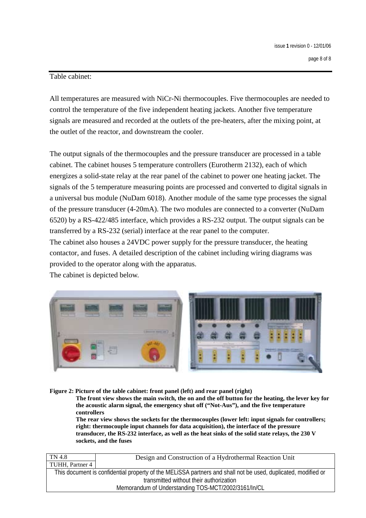#### Table cabinet:

All temperatures are measured with NiCr-Ni thermocouples. Five thermocouples are needed to control the temperature of the five independent heating jackets. Another five temperature signals are measured and recorded at the outlets of the pre-heaters, after the mixing point, at the outlet of the reactor, and downstream the cooler.

The output signals of the thermocouples and the pressure transducer are processed in a table cabinet. The cabinet houses 5 temperature controllers (Eurotherm 2132), each of which energizes a solid-state relay at the rear panel of the cabinet to power one heating jacket. The signals of the 5 temperature measuring points are processed and converted to digital signals in a universal bus module (NuDam 6018). Another module of the same type processes the signal of the pressure transducer (4-20mA). The two modules are connected to a converter (NuDam 6520) by a RS-422/485 interface, which provides a RS-232 output. The output signals can be transferred by a RS-232 (serial) interface at the rear panel to the computer. The cabinet also houses a 24VDC power supply for the pressure transducer, the heating

contactor, and fuses. A detailed description of the cabinet including wiring diagrams was provided to the operator along with the apparatus.

The cabinet is depicted below.



#### **Figure 2: Picture of the table cabinet: front panel (left) and rear panel (right)**

**The front view shows the main switch, the on and the off button for the heating, the lever key for the acoustic alarm signal, the emergency shut off ("Not-Aus"), and the five temperature controllers** 

**The rear view shows the sockets for the thermocouples (lower left: input signals for controllers; right: thermocouple input channels for data acquisition), the interface of the pressure transducer, the RS-232 interface, as well as the heat sinks of the solid state relays, the 230 V sockets, and the fuses** 

| TN 4.8                                                                                                        | Design and Construction of a Hydrothermal Reaction Unit |  |  |  |
|---------------------------------------------------------------------------------------------------------------|---------------------------------------------------------|--|--|--|
| TUHH, Partner 4                                                                                               |                                                         |  |  |  |
| This document is confidential property of the MELISSA partners and shall not be used, duplicated, modified or |                                                         |  |  |  |
| transmitted without their authorization                                                                       |                                                         |  |  |  |
| Memorandum of Understanding TOS-MCT/2002/3161/In/CL                                                           |                                                         |  |  |  |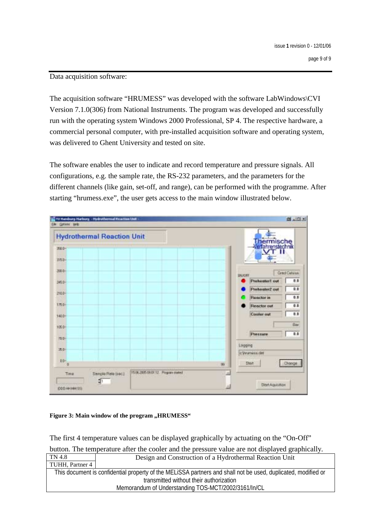#### Data acquisition software:

The acquisition software "HRUMESS" was developed with the software LabWindows\CVI Version 7.1.0(306) from National Instruments. The program was developed and successfully run with the operating system Windows 2000 Professional, SP 4. The respective hardware, a commercial personal computer, with pre-installed acquisition software and operating system, was delivered to Ghent University and tested on site.

The software enables the user to indicate and record temperature and pressure signals. All configurations, e.g. the sample rate, the RS-232 parameters, and the parameters for the different channels (like gain, set-off, and range), can be performed with the programme. After starting "hrumess.exe", the user gets access to the main window illustrated below.



#### Figure 3: Main window of the program "HRUMESS"

The first 4 temperature values can be displayed graphically by actuating on the "On-Off"

button. The temperature after the cooler and the pressure value are not displayed graphically.

| TN 4.8                                                                                                        | Design and Construction of a Hydrothermal Reaction Unit |  |  |  |
|---------------------------------------------------------------------------------------------------------------|---------------------------------------------------------|--|--|--|
| TUHH, Partner 4                                                                                               |                                                         |  |  |  |
| This document is confidential property of the MELISSA partners and shall not be used, duplicated, modified or |                                                         |  |  |  |
| transmitted without their authorization                                                                       |                                                         |  |  |  |
| Memorandum of Understanding TOS-MCT/2002/3161/In/CL                                                           |                                                         |  |  |  |
|                                                                                                               |                                                         |  |  |  |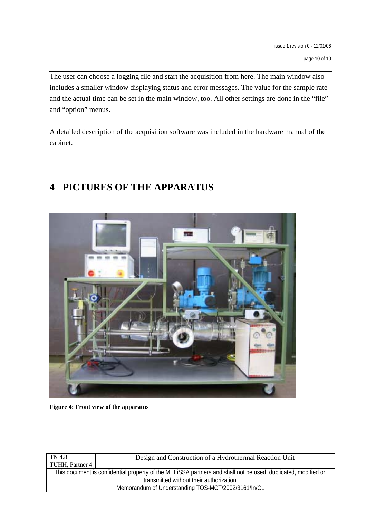The user can choose a logging file and start the acquisition from here. The main window also includes a smaller window displaying status and error messages. The value for the sample rate and the actual time can be set in the main window, too. All other settings are done in the "file" and "option" menus.

A detailed description of the acquisition software was included in the hardware manual of the cabinet.

## **4 PICTURES OF THE APPARATUS**



**Figure 4: Front view of the apparatus** 

| TN 4.8                                                                                                        | Design and Construction of a Hydrothermal Reaction Unit |  |  |  |
|---------------------------------------------------------------------------------------------------------------|---------------------------------------------------------|--|--|--|
| TUHH, Partner 4                                                                                               |                                                         |  |  |  |
| This document is confidential property of the MELISSA partners and shall not be used, duplicated, modified or |                                                         |  |  |  |
| transmitted without their authorization                                                                       |                                                         |  |  |  |
| Memorandum of Understanding TOS-MCT/2002/3161/In/CL                                                           |                                                         |  |  |  |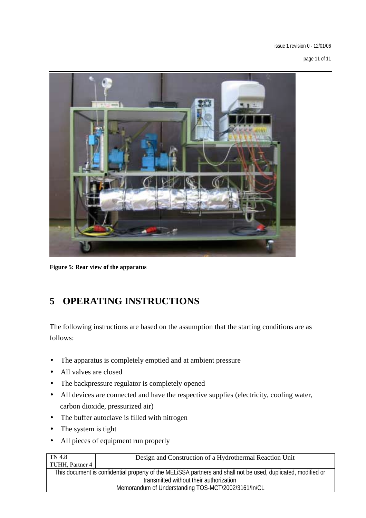issue **1** revision 0 - 12/01/06

page 11 of 11



**Figure 5: Rear view of the apparatus** 

## **5 OPERATING INSTRUCTIONS**

The following instructions are based on the assumption that the starting conditions are as follows:

- The apparatus is completely emptied and at ambient pressure
- All valves are closed
- The backpressure regulator is completely opened
- All devices are connected and have the respective supplies (electricity, cooling water, carbon dioxide, pressurized air)
- The buffer autoclave is filled with nitrogen
- The system is tight
- All pieces of equipment run properly

| TN 4.8                                                                                                        | Design and Construction of a Hydrothermal Reaction Unit |  |  |  |
|---------------------------------------------------------------------------------------------------------------|---------------------------------------------------------|--|--|--|
| TUHH, Partner 4                                                                                               |                                                         |  |  |  |
| This document is confidential property of the MELISSA partners and shall not be used, duplicated, modified or |                                                         |  |  |  |
| transmitted without their authorization                                                                       |                                                         |  |  |  |
| Memorandum of Understanding TOS-MCT/2002/3161/In/CL                                                           |                                                         |  |  |  |
|                                                                                                               |                                                         |  |  |  |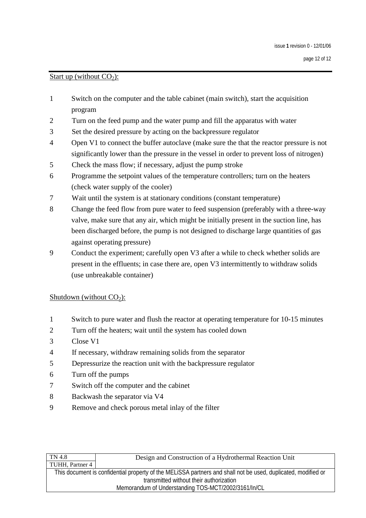#### Start up (without  $CO<sub>2</sub>$ ):

- 1 Switch on the computer and the table cabinet (main switch), start the acquisition program
- 2 Turn on the feed pump and the water pump and fill the apparatus with water
- 3 Set the desired pressure by acting on the backpressure regulator
- 4 Open V1 to connect the buffer autoclave (make sure the that the reactor pressure is not significantly lower than the pressure in the vessel in order to prevent loss of nitrogen)
- 5 Check the mass flow; if necessary, adjust the pump stroke
- 6 Programme the setpoint values of the temperature controllers; turn on the heaters (check water supply of the cooler)
- 7 Wait until the system is at stationary conditions (constant temperature)
- 8 Change the feed flow from pure water to feed suspension (preferably with a three-way valve, make sure that any air, which might be initially present in the suction line, has been discharged before, the pump is not designed to discharge large quantities of gas against operating pressure)
- 9 Conduct the experiment; carefully open V3 after a while to check whether solids are present in the effluents; in case there are, open V3 intermittently to withdraw solids (use unbreakable container)

#### Shutdown (without  $CO<sub>2</sub>$ ):

- 1 Switch to pure water and flush the reactor at operating temperature for 10-15 minutes
- 2 Turn off the heaters; wait until the system has cooled down
- 3 Close V1
- 4 If necessary, withdraw remaining solids from the separator
- 5 Depressurize the reaction unit with the backpressure regulator
- 6 Turn off the pumps
- 7 Switch off the computer and the cabinet
- 8 Backwash the separator via V4
- 9 Remove and check porous metal inlay of the filter

| TN 4.8                                                                                                        | Design and Construction of a Hydrothermal Reaction Unit |  |  |  |
|---------------------------------------------------------------------------------------------------------------|---------------------------------------------------------|--|--|--|
| TUHH, Partner 4                                                                                               |                                                         |  |  |  |
| This document is confidential property of the MELISSA partners and shall not be used, duplicated, modified or |                                                         |  |  |  |
| transmitted without their authorization                                                                       |                                                         |  |  |  |
| Memorandum of Understanding TOS-MCT/2002/3161/In/CL                                                           |                                                         |  |  |  |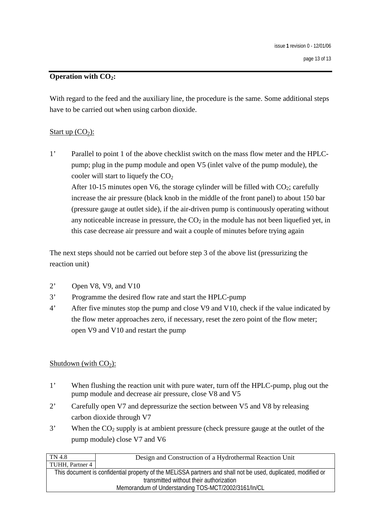#### **Operation with CO2:**

With regard to the feed and the auxiliary line, the procedure is the same. Some additional steps have to be carried out when using carbon dioxide.

#### Start up  $(CO<sub>2</sub>)$ :

1' Parallel to point 1 of the above checklist switch on the mass flow meter and the HPLCpump; plug in the pump module and open V5 (inlet valve of the pump module), the cooler will start to liquefy the  $CO<sub>2</sub>$ After 10-15 minutes open V6, the storage cylinder will be filled with  $CO_2$ ; carefully increase the air pressure (black knob in the middle of the front panel) to about 150 bar (pressure gauge at outlet side), if the air-driven pump is continuously operating without any noticeable increase in pressure, the  $CO<sub>2</sub>$  in the module has not been liquefied yet, in this case decrease air pressure and wait a couple of minutes before trying again

The next steps should not be carried out before step 3 of the above list (pressurizing the reaction unit)

- 2' Open V8, V9, and V10
- 3' Programme the desired flow rate and start the HPLC-pump
- 4' After five minutes stop the pump and close V9 and V10, check if the value indicated by the flow meter approaches zero, if necessary, reset the zero point of the flow meter; open V9 and V10 and restart the pump

#### Shutdown (with  $CO<sub>2</sub>$ ):

- 1' When flushing the reaction unit with pure water, turn off the HPLC-pump, plug out the pump module and decrease air pressure, close V8 and V5
- 2' Carefully open V7 and depressurize the section between V5 and V8 by releasing carbon dioxide through V7
- $3'$  When the  $CO_2$  supply is at ambient pressure (check pressure gauge at the outlet of the pump module) close V7 and V6

| Design and Construction of a Hydrothermal Reaction Unit                                                       |  |  |  |  |
|---------------------------------------------------------------------------------------------------------------|--|--|--|--|
| TUHH, Partner 4                                                                                               |  |  |  |  |
| This document is confidential property of the MELISSA partners and shall not be used, duplicated, modified or |  |  |  |  |
| transmitted without their authorization                                                                       |  |  |  |  |
| Memorandum of Understanding TOS-MCT/2002/3161/In/CL                                                           |  |  |  |  |
|                                                                                                               |  |  |  |  |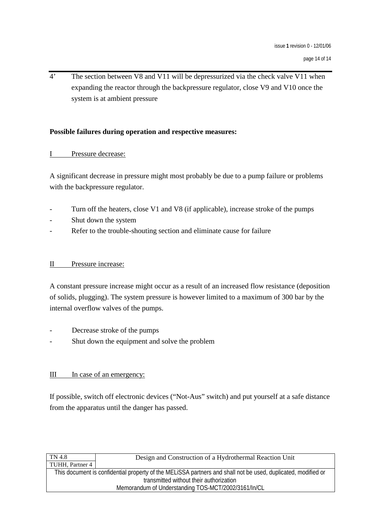4' The section between V8 and V11 will be depressurized via the check valve V11 when expanding the reactor through the backpressure regulator, close V9 and V10 once the system is at ambient pressure

#### **Possible failures during operation and respective measures:**

#### I Pressure decrease:

A significant decrease in pressure might most probably be due to a pump failure or problems with the backpressure regulator.

- Turn off the heaters, close V1 and V8 (if applicable), increase stroke of the pumps
- Shut down the system
- Refer to the trouble-shouting section and eliminate cause for failure

#### II Pressure increase:

A constant pressure increase might occur as a result of an increased flow resistance (deposition of solids, plugging). The system pressure is however limited to a maximum of 300 bar by the internal overflow valves of the pumps.

- Decrease stroke of the pumps
- Shut down the equipment and solve the problem

#### III In case of an emergency:

If possible, switch off electronic devices ("Not-Aus" switch) and put yourself at a safe distance from the apparatus until the danger has passed.

| Design and Construction of a Hydrothermal Reaction Unit                                                       |  |  |  |  |
|---------------------------------------------------------------------------------------------------------------|--|--|--|--|
|                                                                                                               |  |  |  |  |
| This document is confidential property of the MELISSA partners and shall not be used, duplicated, modified or |  |  |  |  |
| transmitted without their authorization                                                                       |  |  |  |  |
| Memorandum of Understanding TOS-MCT/2002/3161/In/CL                                                           |  |  |  |  |
|                                                                                                               |  |  |  |  |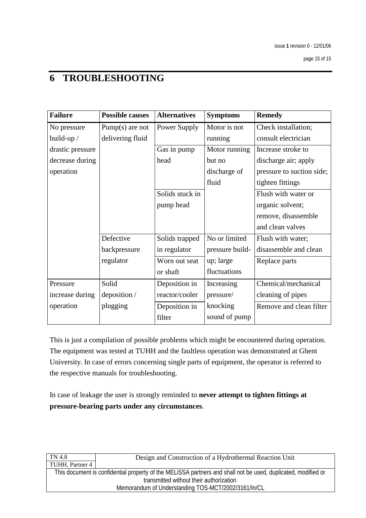## **6 TROUBLESHOOTING**

| <b>Failure</b>   | <b>Possible causes</b> | <b>Alternatives</b> | <b>Symptoms</b> | <b>Remedy</b>             |
|------------------|------------------------|---------------------|-----------------|---------------------------|
| No pressure      | Pump $(s)$ are not     | Power Supply        | Motor is not    | Check installation;       |
| build-up /       | delivering fluid       |                     | running         | consult electrician       |
| drastic pressure |                        | Gas in pump         | Motor running   | Increase stroke to        |
| decrease during  |                        | head                | but no          | discharge air; apply      |
| operation        |                        |                     | discharge of    | pressure to suction side; |
|                  |                        |                     | fluid           | tighten fittings          |
|                  |                        | Solids stuck in     |                 | Flush with water or       |
|                  |                        | pump head           |                 | organic solvent;          |
|                  |                        |                     |                 | remove, disassemble       |
|                  |                        |                     |                 | and clean valves          |
|                  | Defective              | Solids trapped      | No or limited   | Flush with water;         |
|                  | backpressure           | in regulator        | pressure build- | disassemble and clean     |
|                  | regulator              | Worn out seat       | up; large       | Replace parts             |
|                  |                        | or shaft            | fluctuations    |                           |
| Pressure         | Solid                  | Deposition in       | Increasing      | Chemical/mechanical       |
| increase during  | deposition /           | reactor/cooler      | pressure/       | cleaning of pipes         |
| operation        | plugging               | Deposition in       | knocking        | Remove and clean filter   |
|                  |                        | filter              | sound of pump   |                           |

This is just a compilation of possible problems which might be encountered during operation. The equipment was tested at TUHH and the faultless operation was demonstrated at Ghent University. In case of errors concerning single parts of equipment, the operator is referred to the respective manuals for troubleshooting.

In case of leakage the user is strongly reminded to **never attempt to tighten fittings at pressure-bearing parts under any circumstances**.

| TN 4.8                                                                                                        | Design and Construction of a Hydrothermal Reaction Unit |  |  |  |
|---------------------------------------------------------------------------------------------------------------|---------------------------------------------------------|--|--|--|
| TUHH, Partner 4                                                                                               |                                                         |  |  |  |
| This document is confidential property of the MELISSA partners and shall not be used, duplicated, modified or |                                                         |  |  |  |
| transmitted without their authorization                                                                       |                                                         |  |  |  |
| Memorandum of Understanding TOS-MCT/2002/3161/In/CL                                                           |                                                         |  |  |  |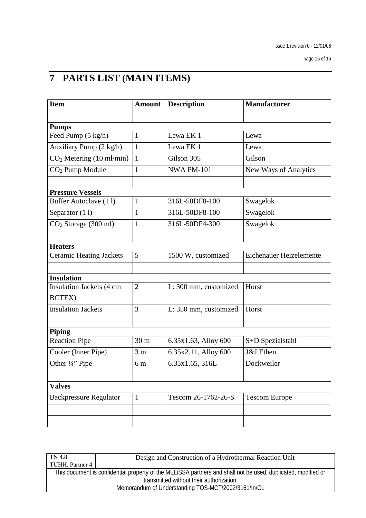# **7 PARTS LIST (MAIN ITEMS)**

| <b>Item</b>                          | <b>Amount</b>   | <b>Description</b>    | <b>Manufacturer</b>            |  |
|--------------------------------------|-----------------|-----------------------|--------------------------------|--|
|                                      |                 |                       |                                |  |
| <b>Pumps</b>                         |                 |                       |                                |  |
| Feed Pump (5 kg/h)                   | 1               | Lewa EK 1             | Lewa                           |  |
| Auxiliary Pump (2 kg/h)              | 1               | Lewa EK 1             | Lewa                           |  |
| CO <sub>2</sub> Metering (10 ml/min) | $\mathbf{1}$    | Gilson 305            | Gilson                         |  |
| CO <sub>2</sub> Pump Module          | $\mathbf{1}$    | <b>NWA PM-101</b>     | New Ways of Analytics          |  |
|                                      |                 |                       |                                |  |
| <b>Pressure Vessels</b>              |                 |                       |                                |  |
| Buffer Autoclave (11)                | $\mathbf{1}$    | 316L-50DF8-100        | Swagelok                       |  |
| Separator (11)                       | $\mathbf{1}$    | 316L-50DF8-100        | Swagelok                       |  |
| CO <sub>2</sub> Storage (300 ml)     | $\mathbf{1}$    | 316L-50DF4-300        | Swagelok                       |  |
|                                      |                 |                       |                                |  |
| <b>Heaters</b>                       |                 |                       |                                |  |
| <b>Ceramic Heating Jackets</b>       | 5               | 1500 W, customized    | <b>Eichenauer Heizelemente</b> |  |
|                                      |                 |                       |                                |  |
| <b>Insulation</b>                    |                 |                       |                                |  |
| Insulation Jackets (4 cm             | $\overline{2}$  | L: 300 mm, customized | Horst                          |  |
| BCTEX)                               |                 |                       |                                |  |
| <b>Insulation Jackets</b>            | 3               | L: 350 mm, customized | Horst                          |  |
|                                      |                 |                       |                                |  |
| <b>Piping</b>                        |                 |                       |                                |  |
| <b>Reaction Pipe</b>                 | 30 <sub>m</sub> | 6.35x1.63, Alloy 600  | S+D Spezialstahl               |  |
| Cooler (Inner Pipe)                  | 3 <sub>m</sub>  | 6.35x2.11, Alloy 600  | J&J Ethen                      |  |
| Other 1/4" Pipe                      | 6 <sub>m</sub>  | 6.35x1.65, 316L       | Dockweiler                     |  |
|                                      |                 |                       |                                |  |
| <b>Valves</b>                        |                 |                       |                                |  |
| <b>Backpressure Regulator</b>        | $\mathbf{1}$    | Tescom 26-1762-26-S   | <b>Tescom Europe</b>           |  |
|                                      |                 |                       |                                |  |
|                                      |                 |                       |                                |  |

| TN 4.8                                              | Design and Construction of a Hydrothermal Reaction Unit                                                       |  |  |
|-----------------------------------------------------|---------------------------------------------------------------------------------------------------------------|--|--|
| TUHH, Partner 4                                     |                                                                                                               |  |  |
|                                                     | This document is confidential property of the MELISSA partners and shall not be used, duplicated, modified or |  |  |
| transmitted without their authorization             |                                                                                                               |  |  |
| Memorandum of Understanding TOS-MCT/2002/3161/In/CL |                                                                                                               |  |  |
|                                                     |                                                                                                               |  |  |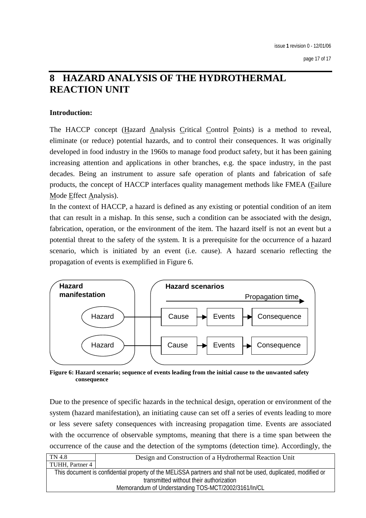## **8 HAZARD ANALYSIS OF THE HYDROTHERMAL REACTION UNIT**

#### **Introduction:**

The HACCP concept (Hazard Analysis Critical Control Points) is a method to reveal, eliminate (or reduce) potential hazards, and to control their consequences. It was originally developed in food industry in the 1960s to manage food product safety, but it has been gaining increasing attention and applications in other branches, e.g. the space industry, in the past decades. Being an instrument to assure safe operation of plants and fabrication of safe products, the concept of HACCP interfaces quality management methods like FMEA (Failure Mode Effect Analysis).

In the context of HACCP, a hazard is defined as any existing or potential condition of an item that can result in a mishap. In this sense, such a condition can be associated with the design, fabrication, operation, or the environment of the item. The hazard itself is not an event but a potential threat to the safety of the system. It is a prerequisite for the occurrence of a hazard scenario, which is initiated by an event (i.e. cause). A hazard scenario reflecting the propagation of events is exemplified in Figure 6.



**Figure 6: Hazard scenario; sequence of events leading from the initial cause to the unwanted safety consequence** 

Due to the presence of specific hazards in the technical design, operation or environment of the system (hazard manifestation), an initiating cause can set off a series of events leading to more or less severe safety consequences with increasing propagation time. Events are associated with the occurrence of observable symptoms, meaning that there is a time span between the occurrence of the cause and the detection of the symptoms (detection time). Accordingly, the

| TN 4.8                                              | Design and Construction of a Hydrothermal Reaction Unit                                                       |  |  |
|-----------------------------------------------------|---------------------------------------------------------------------------------------------------------------|--|--|
| TUHH, Partner 4                                     |                                                                                                               |  |  |
|                                                     | This document is confidential property of the MELISSA partners and shall not be used, duplicated, modified or |  |  |
|                                                     | transmitted without their authorization                                                                       |  |  |
| Memorandum of Understanding TOS-MCT/2002/3161/In/CL |                                                                                                               |  |  |
|                                                     |                                                                                                               |  |  |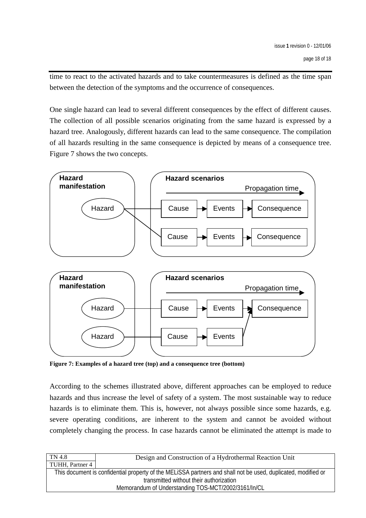time to react to the activated hazards and to take countermeasures is defined as the time span between the detection of the symptoms and the occurrence of consequences.

One single hazard can lead to several different consequences by the effect of different causes. The collection of all possible scenarios originating from the same hazard is expressed by a hazard tree. Analogously, different hazards can lead to the same consequence. The compilation of all hazards resulting in the same consequence is depicted by means of a consequence tree. Figure 7 shows the two concepts.



**Figure 7: Examples of a hazard tree (top) and a consequence tree (bottom)** 

According to the schemes illustrated above, different approaches can be employed to reduce hazards and thus increase the level of safety of a system. The most sustainable way to reduce hazards is to eliminate them. This is, however, not always possible since some hazards, e.g. severe operating conditions, are inherent to the system and cannot be avoided without completely changing the process. In case hazards cannot be eliminated the attempt is made to

| TN 4.8                                              | Design and Construction of a Hydrothermal Reaction Unit                                                       |  |
|-----------------------------------------------------|---------------------------------------------------------------------------------------------------------------|--|
| TUHH, Partner 4                                     |                                                                                                               |  |
|                                                     | This document is confidential property of the MELISSA partners and shall not be used, duplicated, modified or |  |
| transmitted without their authorization             |                                                                                                               |  |
| Memorandum of Understanding TOS-MCT/2002/3161/In/CL |                                                                                                               |  |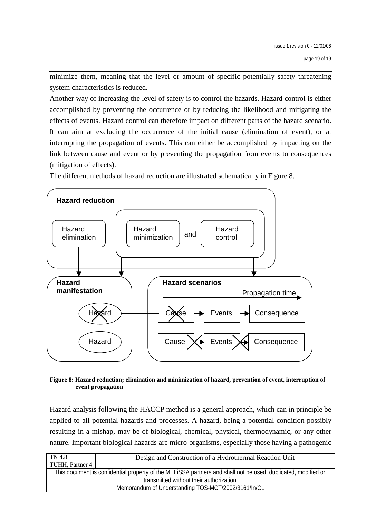minimize them, meaning that the level or amount of specific potentially safety threatening system characteristics is reduced.

Another way of increasing the level of safety is to control the hazards. Hazard control is either accomplished by preventing the occurrence or by reducing the likelihood and mitigating the effects of events. Hazard control can therefore impact on different parts of the hazard scenario. It can aim at excluding the occurrence of the initial cause (elimination of event), or at interrupting the propagation of events. This can either be accomplished by impacting on the link between cause and event or by preventing the propagation from events to consequences (mitigation of effects).

The different methods of hazard reduction are illustrated schematically in Figure 8.



**Figure 8: Hazard reduction; elimination and minimization of hazard, prevention of event, interruption of event propagation** 

Hazard analysis following the HACCP method is a general approach, which can in principle be applied to all potential hazards and processes. A hazard, being a potential condition possibly resulting in a mishap, may be of biological, chemical, physical, thermodynamic, or any other nature. Important biological hazards are micro-organisms, especially those having a pathogenic

| TN 4.8                                              | Design and Construction of a Hydrothermal Reaction Unit                                                       |  |
|-----------------------------------------------------|---------------------------------------------------------------------------------------------------------------|--|
| TUHH, Partner 4                                     |                                                                                                               |  |
|                                                     | This document is confidential property of the MELISSA partners and shall not be used, duplicated, modified or |  |
| transmitted without their authorization             |                                                                                                               |  |
| Memorandum of Understanding TOS-MCT/2002/3161/In/CL |                                                                                                               |  |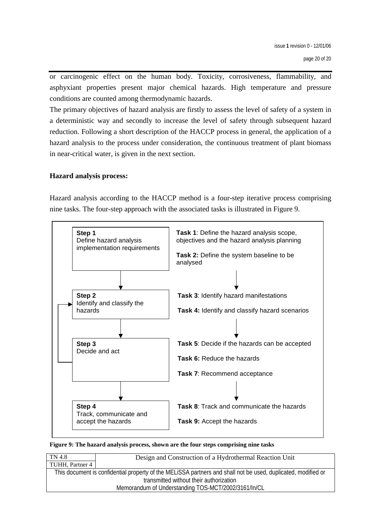or carcinogenic effect on the human body. Toxicity, corrosiveness, flammability, and asphyxiant properties present major chemical hazards. High temperature and pressure conditions are counted among thermodynamic hazards.

The primary objectives of hazard analysis are firstly to assess the level of safety of a system in a deterministic way and secondly to increase the level of safety through subsequent hazard reduction. Following a short description of the HACCP process in general, the application of a hazard analysis to the process under consideration, the continuous treatment of plant biomass in near-critical water, is given in the next section.

#### **Hazard analysis process:**

Hazard analysis according to the HACCP method is a four-step iterative process comprising nine tasks. The four-step approach with the associated tasks is illustrated in Figure 9.



**Figure 9: The hazard analysis process, shown are the four steps comprising nine tasks** 

| TN 4.8          | Design and Construction of a Hydrothermal Reaction Unit                                                       |  |  |
|-----------------|---------------------------------------------------------------------------------------------------------------|--|--|
| TUHH, Partner 4 |                                                                                                               |  |  |
|                 | This document is confidential property of the MELISSA partners and shall not be used, duplicated, modified or |  |  |
|                 | transmitted without their authorization                                                                       |  |  |
|                 | Memorandum of Understanding TOS-MCT/2002/3161/In/CL                                                           |  |  |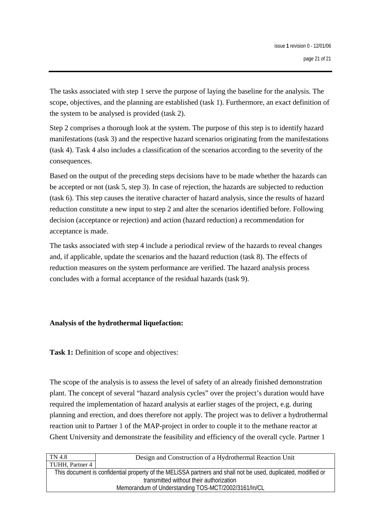The tasks associated with step 1 serve the purpose of laying the baseline for the analysis. The scope, objectives, and the planning are established (task 1). Furthermore, an exact definition of the system to be analysed is provided (task 2).

Step 2 comprises a thorough look at the system. The purpose of this step is to identify hazard manifestations (task 3) and the respective hazard scenarios originating from the manifestations (task 4). Task 4 also includes a classification of the scenarios according to the severity of the consequences.

Based on the output of the preceding steps decisions have to be made whether the hazards can be accepted or not (task 5, step 3). In case of rejection, the hazards are subjected to reduction (task 6). This step causes the iterative character of hazard analysis, since the results of hazard reduction constitute a new input to step 2 and alter the scenarios identified before. Following decision (acceptance or rejection) and action (hazard reduction) a recommendation for acceptance is made.

The tasks associated with step 4 include a periodical review of the hazards to reveal changes and, if applicable, update the scenarios and the hazard reduction (task 8). The effects of reduction measures on the system performance are verified. The hazard analysis process concludes with a formal acceptance of the residual hazards (task 9).

#### **Analysis of the hydrothermal liquefaction:**

**Task 1:** Definition of scope and objectives:

The scope of the analysis is to assess the level of safety of an already finished demonstration plant. The concept of several "hazard analysis cycles" over the project's duration would have required the implementation of hazard analysis at earlier stages of the project, e.g. during planning and erection, and does therefore not apply. The project was to deliver a hydrothermal reaction unit to Partner 1 of the MAP-project in order to couple it to the methane reactor at Ghent University and demonstrate the feasibility and efficiency of the overall cycle. Partner 1

| TN 4.8                                              | Design and Construction of a Hydrothermal Reaction Unit                                                       |  |  |
|-----------------------------------------------------|---------------------------------------------------------------------------------------------------------------|--|--|
| TUHH, Partner 4                                     |                                                                                                               |  |  |
|                                                     | This document is confidential property of the MELISSA partners and shall not be used, duplicated, modified or |  |  |
|                                                     | transmitted without their authorization                                                                       |  |  |
| Memorandum of Understanding TOS-MCT/2002/3161/In/CL |                                                                                                               |  |  |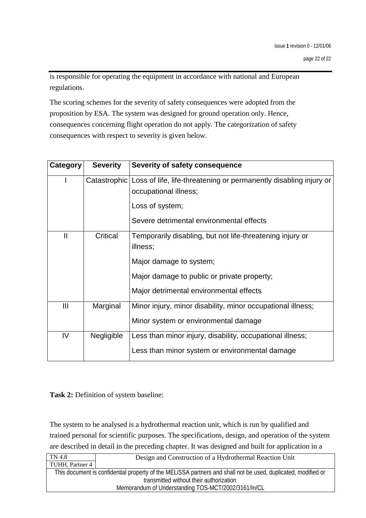is responsible for operating the equipment in accordance with national and European regulations.

The scoring schemes for the severity of safety consequences were adopted from the proposition by ESA. The system was designed for ground operation only. Hence, consequences concerning flight operation do not apply. The categorization of safety consequences with respect to severity is given below.

| Category      | <b>Severity</b> | Severity of safety consequence                                                                              |
|---------------|-----------------|-------------------------------------------------------------------------------------------------------------|
|               |                 | Catastrophic Loss of life, life-threatening or permanently disabling injury or<br>occupational illness;     |
|               |                 | Loss of system;<br>Severe detrimental environmental effects                                                 |
| $\mathbf{II}$ | Critical        | Temporarily disabling, but not life-threatening injury or<br>illness;                                       |
|               |                 | Major damage to system;                                                                                     |
|               |                 | Major damage to public or private property;                                                                 |
|               |                 | Major detrimental environmental effects                                                                     |
| Ш             | Marginal        | Minor injury, minor disability, minor occupational illness;                                                 |
|               |                 | Minor system or environmental damage                                                                        |
| IV            | Negligible      | Less than minor injury, disability, occupational illness;<br>Less than minor system or environmental damage |
|               |                 |                                                                                                             |

#### **Task 2:** Definition of system baseline:

The system to be analysed is a hydrothermal reaction unit, which is run by qualified and trained personal for scientific purposes. The specifications, design, and operation of the system are described in detail in the preceding chapter. It was designed and built for application in a

| TN 4.8                                              | Design and Construction of a Hydrothermal Reaction Unit                                                       |  |  |
|-----------------------------------------------------|---------------------------------------------------------------------------------------------------------------|--|--|
| TUHH, Partner 4                                     |                                                                                                               |  |  |
|                                                     | This document is confidential property of the MELISSA partners and shall not be used, duplicated, modified or |  |  |
| transmitted without their authorization             |                                                                                                               |  |  |
| Memorandum of Understanding TOS-MCT/2002/3161/In/CL |                                                                                                               |  |  |
|                                                     |                                                                                                               |  |  |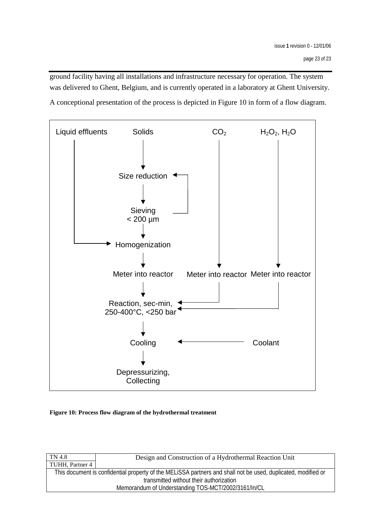ground facility having all installations and infrastructure necessary for operation. The system was delivered to Ghent, Belgium, and is currently operated in a laboratory at Ghent University.

A conceptional presentation of the process is depicted in Figure 10 in form of a flow diagram.



#### **Figure 10: Process flow diagram of the hydrothermal treatment**

| TN 4.8                                              | Design and Construction of a Hydrothermal Reaction Unit                                                       |  |  |
|-----------------------------------------------------|---------------------------------------------------------------------------------------------------------------|--|--|
| TUHH, Partner 4                                     |                                                                                                               |  |  |
|                                                     | This document is confidential property of the MELISSA partners and shall not be used, duplicated, modified or |  |  |
| transmitted without their authorization             |                                                                                                               |  |  |
| Memorandum of Understanding TOS-MCT/2002/3161/In/CL |                                                                                                               |  |  |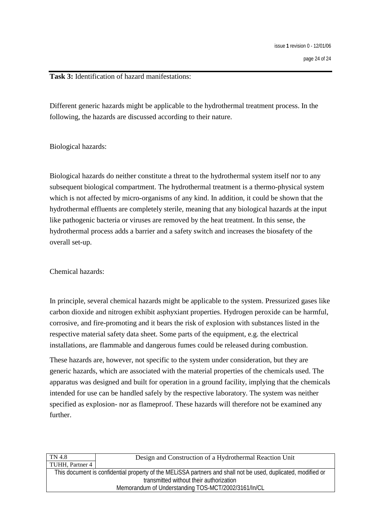**Task 3:** Identification of hazard manifestations:

Different generic hazards might be applicable to the hydrothermal treatment process. In the following, the hazards are discussed according to their nature.

Biological hazards:

Biological hazards do neither constitute a threat to the hydrothermal system itself nor to any subsequent biological compartment. The hydrothermal treatment is a thermo-physical system which is not affected by micro-organisms of any kind. In addition, it could be shown that the hydrothermal effluents are completely sterile, meaning that any biological hazards at the input like pathogenic bacteria or viruses are removed by the heat treatment. In this sense, the hydrothermal process adds a barrier and a safety switch and increases the biosafety of the overall set-up.

Chemical hazards:

In principle, several chemical hazards might be applicable to the system. Pressurized gases like carbon dioxide and nitrogen exhibit asphyxiant properties. Hydrogen peroxide can be harmful, corrosive, and fire-promoting and it bears the risk of explosion with substances listed in the respective material safety data sheet. Some parts of the equipment, e.g. the electrical installations, are flammable and dangerous fumes could be released during combustion.

These hazards are, however, not specific to the system under consideration, but they are generic hazards, which are associated with the material properties of the chemicals used. The apparatus was designed and built for operation in a ground facility, implying that the chemicals intended for use can be handled safely by the respective laboratory. The system was neither specified as explosion- nor as flameproof. These hazards will therefore not be examined any further.

| TN 4.8                                              | Design and Construction of a Hydrothermal Reaction Unit                                                       |  |  |
|-----------------------------------------------------|---------------------------------------------------------------------------------------------------------------|--|--|
| TUHH, Partner 4                                     |                                                                                                               |  |  |
|                                                     | This document is confidential property of the MELISSA partners and shall not be used, duplicated, modified or |  |  |
| transmitted without their authorization             |                                                                                                               |  |  |
| Memorandum of Understanding TOS-MCT/2002/3161/In/CL |                                                                                                               |  |  |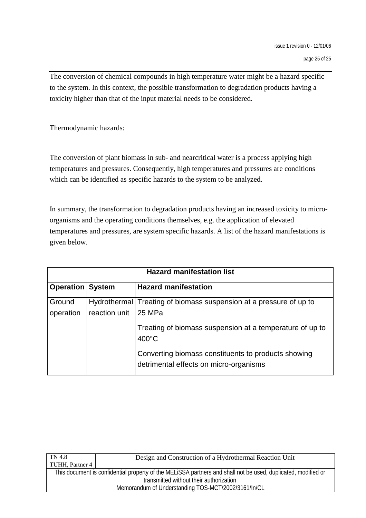The conversion of chemical compounds in high temperature water might be a hazard specific to the system. In this context, the possible transformation to degradation products having a toxicity higher than that of the input material needs to be considered.

Thermodynamic hazards:

The conversion of plant biomass in sub- and nearcritical water is a process applying high temperatures and pressures. Consequently, high temperatures and pressures are conditions which can be identified as specific hazards to the system to be analyzed.

In summary, the transformation to degradation products having an increased toxicity to microorganisms and the operating conditions themselves, e.g. the application of elevated temperatures and pressures, are system specific hazards. A list of the hazard manifestations is given below.

| <b>Hazard manifestation list</b> |               |                                                                                               |
|----------------------------------|---------------|-----------------------------------------------------------------------------------------------|
| <b>Operation System</b>          |               | <b>Hazard manifestation</b>                                                                   |
| Ground<br>operation              | reaction unit | Hydrothermal Treating of biomass suspension at a pressure of up to<br>125 MPa                 |
|                                  |               | Treating of biomass suspension at a temperature of up to<br>$400^{\circ}$ C                   |
|                                  |               | Converting biomass constituents to products showing<br>detrimental effects on micro-organisms |

| Design and Construction of a Hydrothermal Reaction Unit                                                       |  |  |
|---------------------------------------------------------------------------------------------------------------|--|--|
| TUHH, Partner 4                                                                                               |  |  |
| This document is confidential property of the MELISSA partners and shall not be used, duplicated, modified or |  |  |
| transmitted without their authorization                                                                       |  |  |
| Memorandum of Understanding TOS-MCT/2002/3161/In/CL                                                           |  |  |
|                                                                                                               |  |  |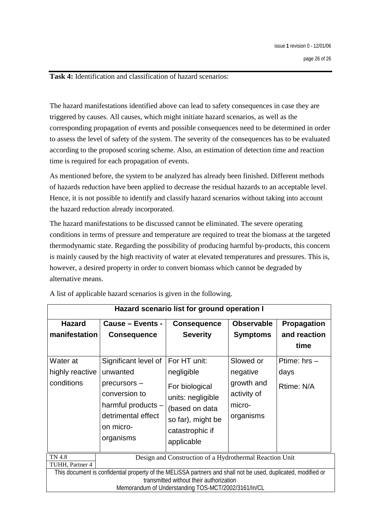**Task 4:** Identification and classification of hazard scenarios:

The hazard manifestations identified above can lead to safety consequences in case they are triggered by causes. All causes, which might initiate hazard scenarios, as well as the corresponding propagation of events and possible consequences need to be determined in order to assess the level of safety of the system. The severity of the consequences has to be evaluated according to the proposed scoring scheme. Also, an estimation of detection time and reaction time is required for each propagation of events.

As mentioned before, the system to be analyzed has already been finished. Different methods of hazards reduction have been applied to decrease the residual hazards to an acceptable level. Hence, it is not possible to identify and classify hazard scenarios without taking into account the hazard reduction already incorporated.

The hazard manifestations to be discussed cannot be eliminated. The severe operating conditions in terms of pressure and temperature are required to treat the biomass at the targeted thermodynamic state. Regarding the possibility of producing harmful by-products, this concern is mainly caused by the high reactivity of water at elevated temperatures and pressures. This is, however, a desired property in order to convert biomass which cannot be degraded by alternative means.

| Hazard scenario list for ground operation I |                                                                                                                 |                                                                                                                                                           |                                                              |                                                       |
|---------------------------------------------|-----------------------------------------------------------------------------------------------------------------|-----------------------------------------------------------------------------------------------------------------------------------------------------------|--------------------------------------------------------------|-------------------------------------------------------|
| <b>Hazard</b><br>manifestation<br>Water at  | Cause - Events -<br><b>Consequence</b><br>Significant level of                                                  | <b>Consequence</b><br><b>Severity</b><br>For HT unit:                                                                                                     | <b>Observable</b><br><b>Symptoms</b><br>Slowed or            | Propagation<br>and reaction<br>time<br>Ptime: $hrs -$ |
| highly reactive<br>conditions               | unwanted<br>precursors -<br>conversion to<br>harmful products -<br>detrimental effect<br>on micro-<br>organisms | negligible<br>For biological<br>units: negligible<br>(based on data<br>so far), might be<br>catastrophic if<br>applicable                                 | negative<br>growth and<br>activity of<br>micro-<br>organisms | days<br>Rtime: N/A                                    |
| <b>TN 4.8</b><br>TUHH, Partner 4            | This document is confidential property of the MELISSA partners and shall not be used, duplicated, modified or   | Design and Construction of a Hydrothermal Reaction Unit<br>transmitted without their authorization<br>Memorandum of Understanding TOS-MCT/2002/3161/In/CL |                                                              |                                                       |

A list of applicable hazard scenarios is given in the following.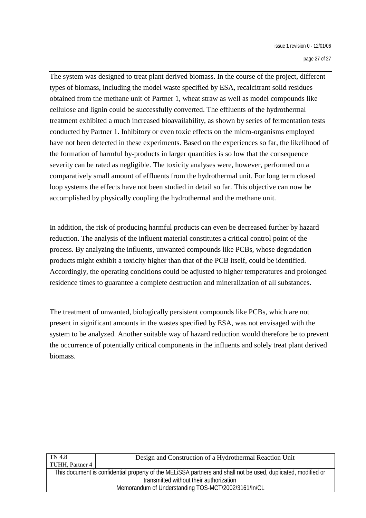The system was designed to treat plant derived biomass. In the course of the project, different types of biomass, including the model waste specified by ESA, recalcitrant solid residues obtained from the methane unit of Partner 1, wheat straw as well as model compounds like cellulose and lignin could be successfully converted. The effluents of the hydrothermal treatment exhibited a much increased bioavailability, as shown by series of fermentation tests conducted by Partner 1. Inhibitory or even toxic effects on the micro-organisms employed have not been detected in these experiments. Based on the experiences so far, the likelihood of the formation of harmful by-products in larger quantities is so low that the consequence severity can be rated as negligible. The toxicity analyses were, however, performed on a comparatively small amount of effluents from the hydrothermal unit. For long term closed loop systems the effects have not been studied in detail so far. This objective can now be accomplished by physically coupling the hydrothermal and the methane unit.

In addition, the risk of producing harmful products can even be decreased further by hazard reduction. The analysis of the influent material constitutes a critical control point of the process. By analyzing the influents, unwanted compounds like PCBs, whose degradation products might exhibit a toxicity higher than that of the PCB itself, could be identified. Accordingly, the operating conditions could be adjusted to higher temperatures and prolonged residence times to guarantee a complete destruction and mineralization of all substances.

The treatment of unwanted, biologically persistent compounds like PCBs, which are not present in significant amounts in the wastes specified by ESA, was not envisaged with the system to be analyzed. Another suitable way of hazard reduction would therefore be to prevent the occurrence of potentially critical components in the influents and solely treat plant derived biomass.

| TUHH, Partner 4                                                                                               |  |  |
|---------------------------------------------------------------------------------------------------------------|--|--|
|                                                                                                               |  |  |
| This document is confidential property of the MELISSA partners and shall not be used, duplicated, modified or |  |  |
| transmitted without their authorization                                                                       |  |  |
| Memorandum of Understanding TOS-MCT/2002/3161/In/CL                                                           |  |  |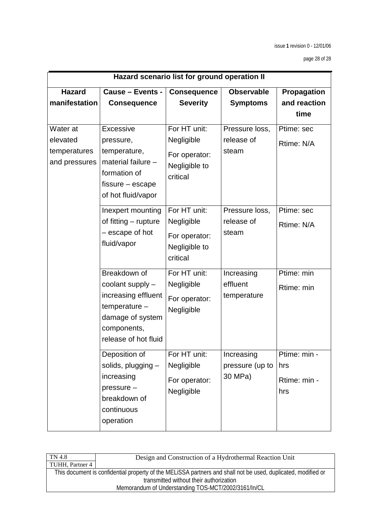|                                                       |                                                                                                                                       | Hazard scenario list for ground operation II                             |                                          |                                            |
|-------------------------------------------------------|---------------------------------------------------------------------------------------------------------------------------------------|--------------------------------------------------------------------------|------------------------------------------|--------------------------------------------|
| <b>Hazard</b><br>manifestation                        | <b>Cause - Events -</b><br><b>Consequence</b>                                                                                         | <b>Consequence</b><br><b>Severity</b>                                    | <b>Observable</b><br><b>Symptoms</b>     | Propagation<br>and reaction<br>time        |
| Water at<br>elevated<br>temperatures<br>and pressures | Excessive<br>pressure,<br>temperature,<br>material failure -<br>formation of<br>fissure – escape<br>of hot fluid/vapor                | For HT unit:<br>Negligible<br>For operator:<br>Negligible to<br>critical | Pressure loss,<br>release of<br>steam    | Ptime: sec<br>Rtime: N/A                   |
|                                                       | Inexpert mounting<br>of fitting – rupture<br>- escape of hot<br>fluid/vapor                                                           | For HT unit:<br>Negligible<br>For operator:<br>Negligible to<br>critical | Pressure loss,<br>release of<br>steam    | Ptime: sec<br>Rtime: N/A                   |
|                                                       | Breakdown of<br>coolant supply -<br>increasing effluent<br>$temperature -$<br>damage of system<br>components,<br>release of hot fluid | For HT unit:<br>Negligible<br>For operator:<br>Negligible                | Increasing<br>effluent<br>temperature    | Ptime: min<br>Rtime: min                   |
|                                                       | Deposition of<br>solids, plugging -<br>increasing<br>pressure -<br>breakdown of<br>continuous<br>operation                            | For HT unit:<br>Negligible<br>For operator:<br>Negligible                | Increasing<br>pressure (up to<br>30 MPa) | Ptime: min -<br>hrs<br>Rtime: min -<br>hrs |

| TN 4.8                                              | Design and Construction of a Hydrothermal Reaction Unit                                                       |  |
|-----------------------------------------------------|---------------------------------------------------------------------------------------------------------------|--|
| TUHH, Partner 4                                     |                                                                                                               |  |
|                                                     | This document is confidential property of the MELISSA partners and shall not be used, duplicated, modified or |  |
| transmitted without their authorization             |                                                                                                               |  |
| Memorandum of Understanding TOS-MCT/2002/3161/In/CL |                                                                                                               |  |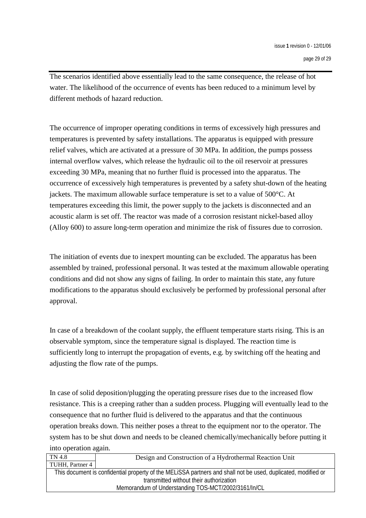page 29 of 29

The scenarios identified above essentially lead to the same consequence, the release of hot water. The likelihood of the occurrence of events has been reduced to a minimum level by different methods of hazard reduction.

The occurrence of improper operating conditions in terms of excessively high pressures and temperatures is prevented by safety installations. The apparatus is equipped with pressure relief valves, which are activated at a pressure of 30 MPa. In addition, the pumps possess internal overflow valves, which release the hydraulic oil to the oil reservoir at pressures exceeding 30 MPa, meaning that no further fluid is processed into the apparatus. The occurrence of excessively high temperatures is prevented by a safety shut-down of the heating jackets. The maximum allowable surface temperature is set to a value of 500°C. At temperatures exceeding this limit, the power supply to the jackets is disconnected and an acoustic alarm is set off. The reactor was made of a corrosion resistant nickel-based alloy (Alloy 600) to assure long-term operation and minimize the risk of fissures due to corrosion.

The initiation of events due to inexpert mounting can be excluded. The apparatus has been assembled by trained, professional personal. It was tested at the maximum allowable operating conditions and did not show any signs of failing. In order to maintain this state, any future modifications to the apparatus should exclusively be performed by professional personal after approval.

In case of a breakdown of the coolant supply, the effluent temperature starts rising. This is an observable symptom, since the temperature signal is displayed. The reaction time is sufficiently long to interrupt the propagation of events, e.g. by switching off the heating and adjusting the flow rate of the pumps.

In case of solid deposition/plugging the operating pressure rises due to the increased flow resistance. This is a creeping rather than a sudden process. Plugging will eventually lead to the consequence that no further fluid is delivered to the apparatus and that the continuous operation breaks down. This neither poses a threat to the equipment nor to the operator. The system has to be shut down and needs to be cleaned chemically/mechanically before putting it into operation again.

| TN 4.8          | Design and Construction of a Hydrothermal Reaction Unit                                                                                                  |
|-----------------|----------------------------------------------------------------------------------------------------------------------------------------------------------|
| TUHH, Partner 4 |                                                                                                                                                          |
|                 | This document is confidential property of the MELISSA partners and shall not be used, duplicated, modified or<br>transmitted without their authorization |
|                 | Memorandum of Understanding TOS-MCT/2002/3161/In/CL                                                                                                      |